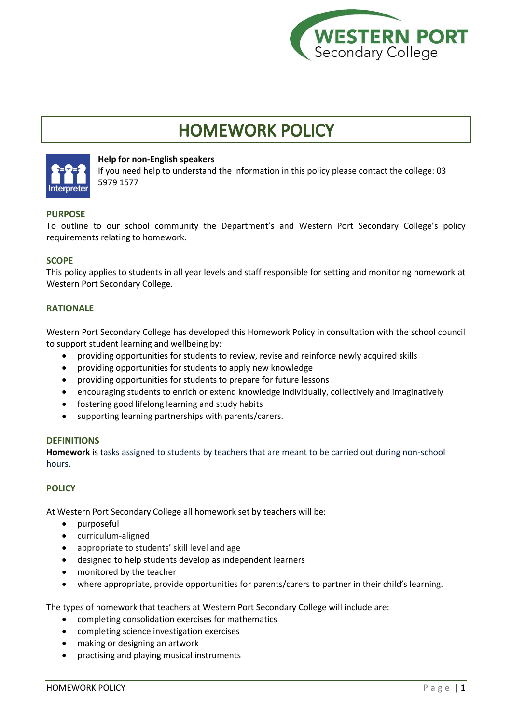

# **HOMEWORK POLICY**



## **Help for non-English speakers**

If you need help to understand the information in this policy please contact the college: 03 5979 1577

# **PURPOSE**

To outline to our school community the Department's and Western Port Secondary College's policy requirements relating to homework.

## **SCOPE**

This policy applies to students in all year levels and staff responsible for setting and monitoring homework at Western Port Secondary College.

# **RATIONALE**

Western Port Secondary College has developed this Homework Policy in consultation with the school council to support student learning and wellbeing by:

- providing opportunities for students to review, revise and reinforce newly acquired skills
- providing opportunities for students to apply new knowledge
- providing opportunities for students to prepare for future lessons
- encouraging students to enrich or extend knowledge individually, collectively and imaginatively
- fostering good lifelong learning and study habits
- supporting learning partnerships with parents/carers.

## **DEFINITIONS**

**Homework** is tasks assigned to students by teachers that are meant to be carried out during non-school hours.

## **POLICY**

At Western Port Secondary College all homework set by teachers will be:

- purposeful
- curriculum-aligned
- appropriate to students' skill level and age
- designed to help students develop as independent learners
- monitored by the teacher
- where appropriate, provide opportunities for parents/carers to partner in their child's learning.

The types of homework that teachers at Western Port Secondary College will include are:

- completing consolidation exercises for mathematics
- completing science investigation exercises
- making or designing an artwork
- practising and playing musical instruments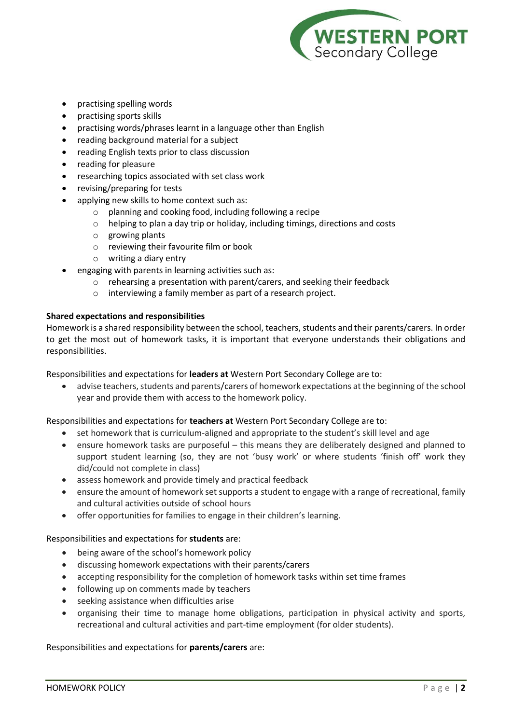

- practising spelling words
- practising sports skills
- practising words/phrases learnt in a language other than English
- reading background material for a subject
- reading English texts prior to class discussion
- reading for pleasure
- researching topics associated with set class work
- revising/preparing for tests
- applying new skills to home context such as:
	- o planning and cooking food, including following a recipe
	- o helping to plan a day trip or holiday, including timings, directions and costs
	- o growing plants
	- o reviewing their favourite film or book
	- o writing a diary entry
- engaging with parents in learning activities such as:
	- $\circ$  rehearsing a presentation with parent/carers, and seeking their feedback
	- o interviewing a family member as part of a research project.

## **Shared expectations and responsibilities**

Homework is a shared responsibility between the school, teachers, students and their parents/carers. In order to get the most out of homework tasks, it is important that everyone understands their obligations and responsibilities.

Responsibilities and expectations for **leaders at** Western Port Secondary College are to:

• advise teachers, students and parents/carers of homework expectations at the beginning of the school year and provide them with access to the homework policy.

Responsibilities and expectations for **teachers at** Western Port Secondary College are to:

- set homework that is curriculum-aligned and appropriate to the student's skill level and age
- ensure homework tasks are purposeful this means they are deliberately designed and planned to support student learning (so, they are not 'busy work' or where students 'finish off' work they did/could not complete in class)
- assess homework and provide timely and practical feedback
- ensure the amount of homework set supports a student to engage with a range of recreational, family and cultural activities outside of school hours
- offer opportunities for families to engage in their children's learning.

## Responsibilities and expectations for **students** are:

- being aware of the school's homework policy
- discussing homework expectations with their parents/carers
- accepting responsibility for the completion of homework tasks within set time frames
- following up on comments made by teachers
- seeking assistance when difficulties arise
- organising their time to manage home obligations, participation in physical activity and sports, recreational and cultural activities and part-time employment (for older students).

## Responsibilities and expectations for **parents/carers** are: